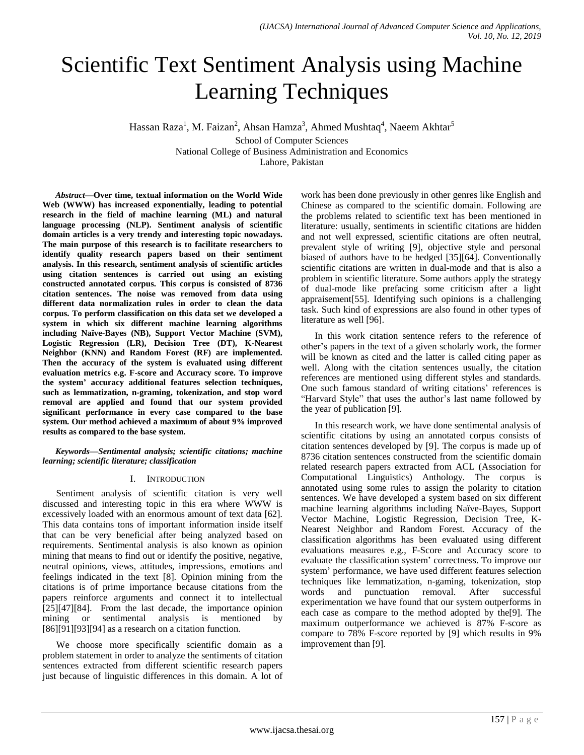# Scientific Text Sentiment Analysis using Machine Learning Techniques

Hassan Raza<sup>1</sup>, M. Faizan<sup>2</sup>, Ahsan Hamza<sup>3</sup>, Ahmed Mushtaq<sup>4</sup>, Naeem Akhtar<sup>5</sup>

School of Computer Sciences National College of Business Administration and Economics Lahore, Pakistan

*Abstract***—Over time, textual information on the World Wide Web (WWW) has increased exponentially, leading to potential research in the field of machine learning (ML) and natural language processing (NLP). Sentiment analysis of scientific domain articles is a very trendy and interesting topic nowadays. The main purpose of this research is to facilitate researchers to identify quality research papers based on their sentiment analysis. In this research, sentiment analysis of scientific articles using citation sentences is carried out using an existing constructed annotated corpus. This corpus is consisted of 8736 citation sentences. The noise was removed from data using different data normalization rules in order to clean the data corpus. To perform classification on this data set we developed a system in which six different machine learning algorithms including Naïve-Bayes (NB), Support Vector Machine (SVM), Logistic Regression (LR), Decision Tree (DT), K-Nearest Neighbor (KNN) and Random Forest (RF) are implemented. Then the accuracy of the system is evaluated using different evaluation metrics e.g. F-score and Accuracy score. To improve the system' accuracy additional features selection techniques, such as lemmatization, n-graming, tokenization, and stop word removal are applied and found that our system provided significant performance in every case compared to the base system. Our method achieved a maximum of about 9% improved results as compared to the base system.**

*Keywords—Sentimental analysis; scientific citations; machine learning; scientific literature; classification*

# I. INTRODUCTION

Sentiment analysis of scientific citation is very well discussed and interesting topic in this era where WWW is excessively loaded with an enormous amount of text data [62]. This data contains tons of important information inside itself that can be very beneficial after being analyzed based on requirements. Sentimental analysis is also known as opinion mining that means to find out or identify the positive, negative, neutral opinions, views, attitudes, impressions, emotions and feelings indicated in the text [8]. Opinion mining from the citations is of prime importance because citations from the papers reinforce arguments and connect it to intellectual [25][47][84]. From the last decade, the importance opinion mining or sentimental analysis is mentioned by  $[86][91][93][94]$  as a research on a citation function.

We choose more specifically scientific domain as a problem statement in order to analyze the sentiments of citation sentences extracted from different scientific research papers just because of linguistic differences in this domain. A lot of work has been done previously in other genres like English and Chinese as compared to the scientific domain. Following are the problems related to scientific text has been mentioned in literature: usually, sentiments in scientific citations are hidden and not well expressed, scientific citations are often neutral, prevalent style of writing [9], objective style and personal biased of authors have to be hedged [35][64]. Conventionally scientific citations are written in dual-mode and that is also a problem in scientific literature. Some authors apply the strategy of dual-mode like prefacing some criticism after a light appraisement[55]. Identifying such opinions is a challenging task. Such kind of expressions are also found in other types of literature as well [96].

In this work citation sentence refers to the reference of other's papers in the text of a given scholarly work, the former will be known as cited and the latter is called citing paper as well. Along with the citation sentences usually, the citation references are mentioned using different styles and standards. One such famous standard of writing citations' references is "Harvard Style" that uses the author's last name followed by the year of publication [9].

In this research work, we have done sentimental analysis of scientific citations by using an annotated corpus consists of citation sentences developed by [9]. The corpus is made up of 8736 citation sentences constructed from the scientific domain related research papers extracted from ACL (Association for Computational Linguistics) Anthology. The corpus is annotated using some rules to assign the polarity to citation sentences. We have developed a system based on six different machine learning algorithms including Naïve-Bayes, Support Vector Machine, Logistic Regression, Decision Tree, K-Nearest Neighbor and Random Forest. Accuracy of the classification algorithms has been evaluated using different evaluations measures e.g., F-Score and Accuracy score to evaluate the classification system' correctness. To improve our system' performance, we have used different features selection techniques like lemmatization, n-gaming, tokenization, stop words and punctuation removal. After successful experimentation we have found that our system outperforms in each case as compare to the method adopted by the[9]. The maximum outperformance we achieved is 87% F-score as compare to 78% F-score reported by [9] which results in 9% improvement than [9].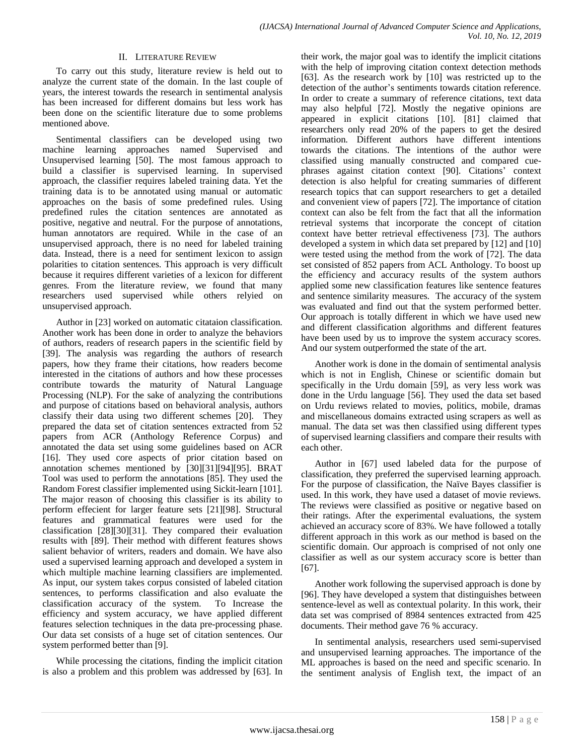# II. LITERATURE REVIEW

To carry out this study, literature review is held out to analyze the current state of the domain. In the last couple of years, the interest towards the research in sentimental analysis has been increased for different domains but less work has been done on the scientific literature due to some problems mentioned above.

Sentimental classifiers can be developed using two machine learning approaches named Supervised and Unsupervised learning [50]. The most famous approach to build a classifier is supervised learning. In supervised approach, the classifier requires labeled training data. Yet the training data is to be annotated using manual or automatic approaches on the basis of some predefined rules. Using predefined rules the citation sentences are annotated as positive, negative and neutral. For the purpose of annotations, human annotators are required. While in the case of an unsupervised approach, there is no need for labeled training data. Instead, there is a need for sentiment lexicon to assign polarities to citation sentences. This approach is very difficult because it requires different varieties of a lexicon for different genres. From the literature review, we found that many researchers used supervised while others relyied on unsupervised approach.

Author in [23] worked on automatic citataion classification. Another work has been done in order to analyze the behaviors of authors, readers of research papers in the scientific field by [39]. The analysis was regarding the authors of research papers, how they frame their citations, how readers become interested in the citations of authors and how these processes contribute towards the maturity of Natural Language Processing (NLP). For the sake of analyzing the contributions and purpose of citations based on behavioral analysis, authors classify their data using two different schemes [20]. They prepared the data set of citation sentences extracted from 52 papers from ACR (Anthology Reference Corpus) and annotated the data set using some guidelines based on ACR [16]. They used core aspects of prior citation based on annotation schemes mentioned by [30][31][94][95]. BRAT Tool was used to perform the annotations [85]. They used the Random Forest classifier implemented using Sickit-learn [101]. The major reason of choosing this classifier is its ability to perform effecient for larger feature sets [21][98]. Structural features and grammatical features were used for the classification [28][30][31]. They compared their evaluation results with [89]. Their method with different features shows salient behavior of writers, readers and domain. We have also used a supervised learning approach and developed a system in which multiple machine learning classifiers are implemented. As input, our system takes corpus consisted of labeled citation sentences, to performs classification and also evaluate the classification accuracy of the system. To Increase the efficiency and system accuracy, we have applied different features selection techniques in the data pre-processing phase. Our data set consists of a huge set of citation sentences. Our system performed better than [9].

While processing the citations, finding the implicit citation is also a problem and this problem was addressed by [63]. In

their work, the major goal was to identify the implicit citations with the help of improving citation context detection methods [63]. As the research work by [10] was restricted up to the detection of the author's sentiments towards citation reference. In order to create a summary of reference citations, text data may also helpful [72]. Mostly the negative opinions are appeared in explicit citations [10]. [81] claimed that researchers only read 20% of the papers to get the desired information. Different authors have different intentions towards the citations. The intentions of the author were classified using manually constructed and compared cuephrases against citation context [90]. Citations' context detection is also helpful for creating summaries of different research topics that can support researchers to get a detailed and convenient view of papers [72]. The importance of citation context can also be felt from the fact that all the information retrieval systems that incorporate the concept of citation context have better retrieval effectiveness [73]. The authors developed a system in which data set prepared by [12] and [10] were tested using the method from the work of [72]. The data set consisted of 852 papers from ACL Anthology. To boost up the efficiency and accuracy results of the system authors applied some new classification features like sentence features and sentence similarity measures. The accuracy of the system was evaluated and find out that the system performed better. Our approach is totally different in which we have used new and different classification algorithms and different features have been used by us to improve the system accuracy scores. And our system outperformed the state of the art.

Another work is done in the domain of sentimental analysis which is not in English, Chinese or scientific domain but specifically in the Urdu domain [59], as very less work was done in the Urdu language [56]. They used the data set based on Urdu reviews related to movies, politics, mobile, dramas and miscellaneous domains extracted using scrapers as well as manual. The data set was then classified using different types of supervised learning classifiers and compare their results with each other.

Author in [67] used labeled data for the purpose of classification, they preferred the supervised learning approach. For the purpose of classification, the Naïve Bayes classifier is used. In this work, they have used a dataset of movie reviews. The reviews were classified as positive or negative based on their ratings. After the experimental evaluations, the system achieved an accuracy score of 83%. We have followed a totally different approach in this work as our method is based on the scientific domain. Our approach is comprised of not only one classifier as well as our system accuracy score is better than [67].

Another work following the supervised approach is done by [96]. They have developed a system that distinguishes between sentence-level as well as contextual polarity. In this work, their data set was comprised of 8984 sentences extracted from 425 documents. Their method gave 76 % accuracy.

In sentimental analysis, researchers used semi-supervised and unsupervised learning approaches. The importance of the ML approaches is based on the need and specific scenario. In the sentiment analysis of English text, the impact of an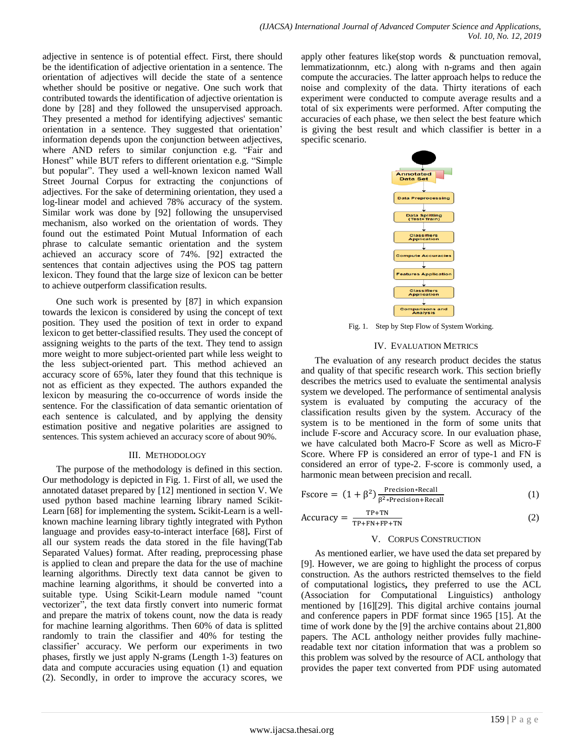adjective in sentence is of potential effect. First, there should be the identification of adjective orientation in a sentence. The orientation of adjectives will decide the state of a sentence whether should be positive or negative. One such work that contributed towards the identification of adjective orientation is done by [28] and they followed the unsupervised approach. They presented a method for identifying adjectives' semantic orientation in a sentence. They suggested that orientation' information depends upon the conjunction between adjectives, where AND refers to similar conjunction e.g. "Fair and Honest" while BUT refers to different orientation e.g. "Simple but popular". They used a well-known lexicon named Wall Street Journal Corpus for extracting the conjunctions of adjectives. For the sake of determining orientation, they used a log-linear model and achieved 78% accuracy of the system. Similar work was done by [92] following the unsupervised mechanism, also worked on the orientation of words. They found out the estimated Point Mutual Information of each phrase to calculate semantic orientation and the system achieved an accuracy score of 74%. [92] extracted the sentences that contain adjectives using the POS tag pattern lexicon. They found that the large size of lexicon can be better to achieve outperform classification results.

One such work is presented by [87] in which expansion towards the lexicon is considered by using the concept of text position. They used the position of text in order to expand lexicon to get better-classified results. They used the concept of assigning weights to the parts of the text. They tend to assign more weight to more subject-oriented part while less weight to the less subject-oriented part. This method achieved an accuracy score of 65%, later they found that this technique is not as efficient as they expected. The authors expanded the lexicon by measuring the co-occurrence of words inside the sentence. For the classification of data semantic orientation of each sentence is calculated, and by applying the density estimation positive and negative polarities are assigned to sentences. This system achieved an accuracy score of about 90%.

# III. METHODOLOGY

The purpose of the methodology is defined in this section. Our methodology is depicted in Fig. 1. First of all, we used the annotated dataset prepared by [12] mentioned in section V. We used python based machine learning library named Scikit-Learn [68] for implementing the system**.** Scikit-Learn is a wellknown machine learning library tightly integrated with Python language and provides easy-to-interact interface [68]**.** First of all our system reads the data stored in the file having(Tab Separated Values) format. After reading, preprocessing phase is applied to clean and prepare the data for the use of machine learning algorithms. Directly text data cannot be given to machine learning algorithms, it should be converted into a suitable type. Using Scikit-Learn module named "count vectorizer", the text data firstly convert into numeric format and prepare the matrix of tokens count, now the data is ready for machine learning algorithms. Then 60% of data is splitted randomly to train the classifier and 40% for testing the classifier' accuracy. We perform our experiments in two phases, firstly we just apply N-grams (Length 1-3) features on data and compute accuracies using equation (1) and equation (2). Secondly, in order to improve the accuracy scores, we

apply other features like(stop words & punctuation removal, lemmatizationnm, etc.) along with n-grams and then again compute the accuracies. The latter approach helps to reduce the noise and complexity of the data. Thirty iterations of each experiment were conducted to compute average results and a total of six experiments were performed. After computing the accuracies of each phase, we then select the best feature which is giving the best result and which classifier is better in a specific scenario.



Fig. 1. Step by Step Flow of System Working.

# IV. EVALUATION METRICS

The evaluation of any research product decides the status and quality of that specific research work. This section briefly describes the metrics used to evaluate the sentimental analysis system we developed. The performance of sentimental analysis system is evaluated by computing the accuracy of the classification results given by the system. Accuracy of the system is to be mentioned in the form of some units that include F-score and Accuracy score. In our evaluation phase, we have calculated both Macro-F Score as well as Micro-F Score. Where FP is considered an error of type-1 and FN is considered an error of type-2. F-score is commonly used, a harmonic mean between precision and recall.

$$
\text{Fscore} = (1 + \beta^2) \frac{\text{Precision} * \text{Recall}}{\beta^2 * \text{Precision} + \text{Recall}} \tag{1}
$$

$$
Accuracy = \frac{TP+TN}{TP+FN+FP+TN}
$$
 (2)

# V. CORPUS CONSTRUCTION

As mentioned earlier, we have used the data set prepared by [9]. However, we are going to highlight the process of corpus construction. As the authors restricted themselves to the field of computational logistics**,** they preferred to use the ACL (Association for Computational Linguistics) anthology mentioned by [16][29]. This digital archive contains journal and conference papers in PDF format since 1965 [15]. At the time of work done by the [9] the archive contains about 21,800 papers. The ACL anthology neither provides fully machinereadable text nor citation information that was a problem so this problem was solved by the resource of ACL anthology that provides the paper text converted from PDF using automated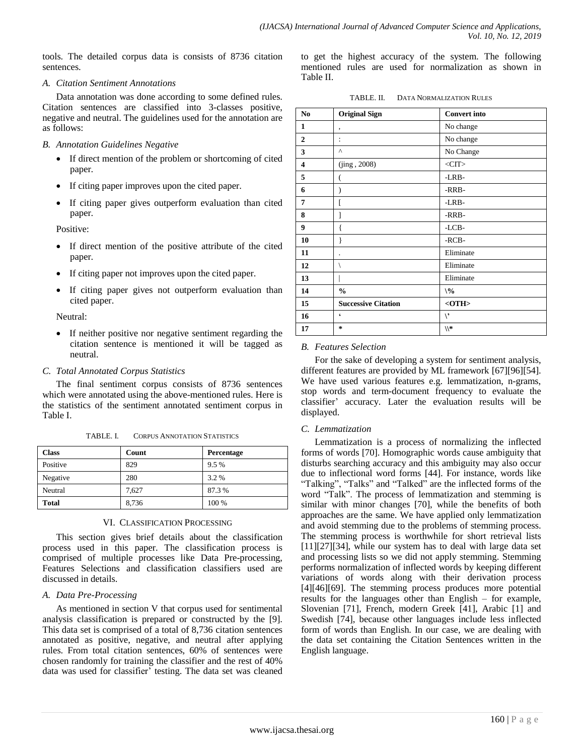tools. The detailed corpus data is consists of 8736 citation sentences.

# *A. Citation Sentiment Annotations*

Data annotation was done according to some defined rules. Citation sentences are classified into 3-classes positive, negative and neutral. The guidelines used for the annotation are as follows:

#### *B. Annotation Guidelines Negative*

- If direct mention of the problem or shortcoming of cited paper.
- If citing paper improves upon the cited paper.
- If citing paper gives outperform evaluation than cited paper.

Positive:

- If direct mention of the positive attribute of the cited paper.
- If citing paper not improves upon the cited paper.
- If citing paper gives not outperform evaluation than cited paper.

Neutral:

 If neither positive nor negative sentiment regarding the citation sentence is mentioned it will be tagged as neutral.

# *C. Total Annotated Corpus Statistics*

The final sentiment corpus consists of 8736 sentences which were annotated using the above-mentioned rules. Here is the statistics of the sentiment annotated sentiment corpus in Table I.

| TABLE. I. | <b>CORPUS ANNOTATION STATISTICS</b> |  |
|-----------|-------------------------------------|--|
|           |                                     |  |

| Class    | Count | <b>Percentage</b> |
|----------|-------|-------------------|
| Positive | 829   | $9.5\%$           |
| Negative | 280   | 3.2%              |
| Neutral  | 7.627 | 87.3 %            |
| Total    | 8,736 | 100 %             |

# VI. CLASSIFICATION PROCESSING

This section gives brief details about the classification process used in this paper. The classification process is comprised of multiple processes like Data Pre-processing, Features Selections and classification classifiers used are discussed in details.

# *A. Data Pre-Processing*

As mentioned in section V that corpus used for sentimental analysis classification is prepared or constructed by the [9]. This data set is comprised of a total of 8,736 citation sentences annotated as positive, negative, and neutral after applying rules. From total citation sentences, 60% of sentences were chosen randomly for training the classifier and the rest of 40% data was used for classifier' testing. The data set was cleaned to get the highest accuracy of the system. The following mentioned rules are used for normalization as shown in Table II.

|  | TABLE. II. | <b>DATA NORMALIZATION RULES</b> |  |
|--|------------|---------------------------------|--|
|--|------------|---------------------------------|--|

| N <sub>0</sub>          | <b>Original Sign</b>       | <b>Convert into</b> |
|-------------------------|----------------------------|---------------------|
| $\mathbf{1}$            | ,                          | No change           |
| $\overline{2}$          | $\ddot{\cdot}$             | No change           |
| 3                       | Λ                          | No Change           |
| $\overline{\mathbf{4}}$ | (iing, 2008)               | $<$ CIT $>$         |
| 5                       | (                          | -LRB-               |
| 6                       |                            | -RRB-               |
| 7                       |                            | -LRB-               |
| 8                       | 1                          | -RRB-               |
| 9                       | ł                          | -LCB-               |
| 10                      | }                          | -RCB-               |
| 11                      |                            | Eliminate           |
| 12                      |                            | Eliminate           |
| 13                      |                            | Eliminate           |
| 14                      | $\frac{0}{0}$              | $\sqrt{\frac{6}{}}$ |
| 15                      | <b>Successive Citation</b> | $<$ OTH $>$         |
| 16                      | $\epsilon$                 | $\mathcal{N}$       |
| 17                      | $\star$                    | ∥*                  |

# *B. Features Selection*

For the sake of developing a system for sentiment analysis, different features are provided by ML framework [67][96][54]. We have used various features e.g. lemmatization, n-grams, stop words and term-document frequency to evaluate the classifier' accuracy. Later the evaluation results will be displayed.

# *C. Lemmatization*

Lemmatization is a process of normalizing the inflected forms of words [70]. Homographic words cause ambiguity that disturbs searching accuracy and this ambiguity may also occur due to inflectional word forms [44]. For instance, words like "Talking", "Talks" and "Talked" are the inflected forms of the word "Talk". The process of lemmatization and stemming is similar with minor changes [70], while the benefits of both approaches are the same. We have applied only lemmatization and avoid stemming due to the problems of stemming process. The stemming process is worthwhile for short retrieval lists [11][27][34], while our system has to deal with large data set and processing lists so we did not apply stemming. Stemming performs normalization of inflected words by keeping different variations of words along with their derivation process [4][46][69]. The stemming process produces more potential results for the languages other than English – for example, Slovenian [71], French, modern Greek [41], Arabic [1] and Swedish [74], because other languages include less inflected form of words than English. In our case, we are dealing with the data set containing the Citation Sentences written in the English language.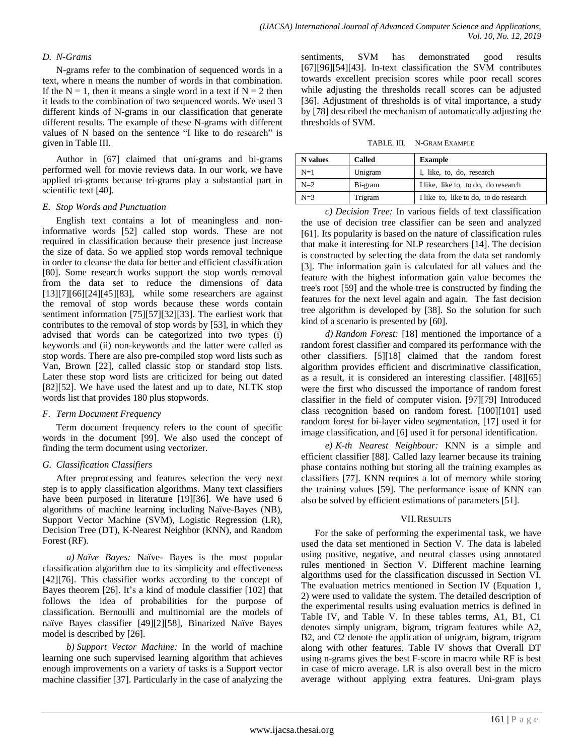# *D. N-Grams*

N-grams refer to the combination of sequenced words in a text, where n means the number of words in that combination. If the  $N = 1$ , then it means a single word in a text if  $N = 2$  then it leads to the combination of two sequenced words. We used 3 different kinds of N-grams in our classification that generate different results. The example of these N-grams with different values of N based on the sentence "I like to do research" is given in Table III.

Author in [67] claimed that uni-grams and bi-grams performed well for movie reviews data. In our work, we have applied tri-grams because tri-grams play a substantial part in scientific text [40].

# *E. Stop Words and Punctuation*

English text contains a lot of meaningless and noninformative words [52] called stop words. These are not required in classification because their presence just increase the size of data. So we applied stop words removal technique in order to cleanse the data for better and efficient classification [80]. Some research works support the stop words removal from the data set to reduce the dimensions of data [13][7][66][24][45][83], while some researchers are against the removal of stop words because these words contain sentiment information [75][57][32][33]. The earliest work that contributes to the removal of stop words by [53], in which they advised that words can be categorized into two types (i) keywords and (ii) non-keywords and the latter were called as stop words. There are also pre-compiled stop word lists such as Van, Brown [22], called classic stop or standard stop lists. Later these stop word lists are criticized for being out dated [82][52]. We have used the latest and up to date, NLTK stop words list that provides 180 plus stopwords.

# *F. Term Document Frequency*

Term document frequency refers to the count of specific words in the document [99]. We also used the concept of finding the term document using vectorizer.

# *G. Classification Classifiers*

After preprocessing and features selection the very next step is to apply classification algorithms. Many text classifiers have been purposed in literature [19][36]. We have used 6 algorithms of machine learning including Naïve-Bayes (NB), Support Vector Machine (SVM), Logistic Regression (LR), Decision Tree (DT), K-Nearest Neighbor (KNN), and Random Forest (RF).

*a) Naïve Bayes:* Naïve- Bayes is the most popular classification algorithm due to its simplicity and effectiveness [42][76]. This classifier works according to the concept of Bayes theorem [26]. It's a kind of module classifier [102] that follows the idea of probabilities for the purpose of classification. Bernoulli and multinomial are the models of naïve Bayes classifier [49][2][58], Binarized Naïve Bayes model is described by [26].

*b) Support Vector Machine:* In the world of machine learning one such supervised learning algorithm that achieves enough improvements on a variety of tasks is a Support vector machine classifier [37]. Particularly in the case of analyzing the sentiments, SVM has demonstrated good results [67][96][54][43]. In-text classification the SVM contributes towards excellent precision scores while poor recall scores while adjusting the thresholds recall scores can be adjusted [36]. Adjustment of thresholds is of vital importance, a study by [78] described the mechanism of automatically adjusting the thresholds of SVM.

TABLE. III. N-GRAM EXAMPLE

| N values | <b>Called</b> | <b>Example</b>                        |
|----------|---------------|---------------------------------------|
| $N=1$    | Unigram       | I, like, to, do, research             |
| $N=2$    | Bi-gram       | I like, like to, to do, do research   |
| $N=3$    | Trigram       | I like to, like to do, to do research |

*c) Decision Tree:* In various fields of text classification the use of decision tree classifier can be seen and analyzed [61]. Its popularity is based on the nature of classification rules that make it interesting for NLP researchers [14]. The decision is constructed by selecting the data from the data set randomly [3]. The information gain is calculated for all values and the feature with the highest information gain value becomes the tree's root [59] and the whole tree is constructed by finding the features for the next level again and again. The fast decision tree algorithm is developed by [38]. So the solution for such kind of a scenario is presented by [60].

*d) Random Forest:* [18] mentioned the importance of a random forest classifier and compared its performance with the other classifiers. [5][18] claimed that the random forest algorithm provides efficient and discriminative classification, as a result, it is considered an interesting classifier. [48][65] were the first who discussed the importance of random forest classifier in the field of computer vision. [97][79] Introduced class recognition based on random forest. [100][101] used random forest for bi-layer video segmentation, [17] used it for image classification, and [6] used it for personal identification.

*e) K-th Nearest Neighbour:* KNN is a simple and efficient classifier [88]. Called lazy learner because its training phase contains nothing but storing all the training examples as classifiers [77]. KNN requires a lot of memory while storing the training values [59]. The performance issue of KNN can also be solved by efficient estimations of parameters [51].

# VII.RESULTS

For the sake of performing the experimental task, we have used the data set mentioned in Section V. The data is labeled using positive, negative, and neutral classes using annotated rules mentioned in Section V. Different machine learning algorithms used for the classification discussed in Section VI. The evaluation metrics mentioned in Section IV (Equation 1, 2) were used to validate the system. The detailed description of the experimental results using evaluation metrics is defined in Table IV, and Table V. In these tables terms, A1, B1, C1 denotes simply unigram, bigram, trigram features while A2, B2, and C2 denote the application of unigram, bigram, trigram along with other features. Table IV shows that Overall DT using n-grams gives the best F-score in macro while RF is best in case of micro average. LR is also overall best in the micro average without applying extra features. Uni-gram plays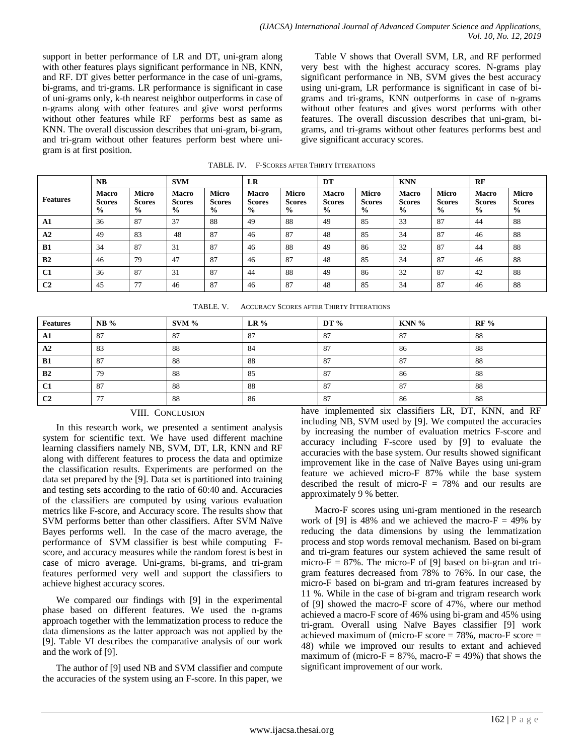support in better performance of LR and DT, uni-gram along with other features plays significant performance in NB, KNN, and RF. DT gives better performance in the case of uni-grams, bi-grams, and tri-grams. LR performance is significant in case of uni-grams only, k-th nearest neighbor outperforms in case of n-grams along with other features and give worst performs without other features while RF performs best as same as KNN. The overall discussion describes that uni-gram, bi-gram, and tri-gram without other features perform best where unigram is at first position.

Table V shows that Overall SVM, LR, and RF performed very best with the highest accuracy scores. N-grams play significant performance in NB, SVM gives the best accuracy using uni-gram, LR performance is significant in case of bigrams and tri-grams, KNN outperforms in case of n-grams without other features and gives worst performs with other features. The overall discussion describes that uni-gram, bigrams, and tri-grams without other features performs best and give significant accuracy scores.

|                 | NB                                             |                                                | <b>SVM</b>                                     |                                                | LR                                             |                                                | DT                                             |                                                | <b>KNN</b>                                     |                                                | RF                                             |                                                |
|-----------------|------------------------------------------------|------------------------------------------------|------------------------------------------------|------------------------------------------------|------------------------------------------------|------------------------------------------------|------------------------------------------------|------------------------------------------------|------------------------------------------------|------------------------------------------------|------------------------------------------------|------------------------------------------------|
| <b>Features</b> | <b>Macro</b><br><b>Scores</b><br>$\frac{6}{9}$ | <b>Micro</b><br><b>Scores</b><br>$\frac{0}{0}$ | <b>Macro</b><br><b>Scores</b><br>$\frac{0}{0}$ | <b>Micro</b><br><b>Scores</b><br>$\frac{6}{9}$ | <b>Macro</b><br><b>Scores</b><br>$\frac{6}{9}$ | <b>Micro</b><br><b>Scores</b><br>$\frac{6}{9}$ | <b>Macro</b><br><b>Scores</b><br>$\frac{6}{9}$ | <b>Micro</b><br><b>Scores</b><br>$\frac{0}{0}$ | <b>Macro</b><br><b>Scores</b><br>$\frac{0}{0}$ | <b>Micro</b><br><b>Scores</b><br>$\frac{0}{0}$ | <b>Macro</b><br><b>Scores</b><br>$\frac{6}{9}$ | <b>Micro</b><br><b>Scores</b><br>$\frac{6}{9}$ |
| ${\bf A1}$      | 36                                             | 87                                             | 37                                             | 88                                             | 49                                             | 88                                             | 49                                             | 85                                             | 33                                             | 87                                             | 44                                             | 88                                             |
| A2              | 49                                             | 83                                             | 48                                             | 87                                             | 46                                             | 87                                             | 48                                             | 85                                             | 34                                             | 87                                             | 46                                             | 88                                             |
| B1              | 34                                             | 87                                             | 31                                             | 87                                             | 46                                             | 88                                             | 49                                             | 86                                             | 32                                             | 87                                             | 44                                             | 88                                             |
| B2              | 46                                             | 79                                             | 47                                             | 87                                             | 46                                             | 87                                             | 48                                             | 85                                             | 34                                             | 87                                             | 46                                             | 88                                             |
| C1              | 36                                             | 87                                             | 31                                             | 87                                             | 44                                             | 88                                             | 49                                             | 86                                             | 32                                             | 87                                             | 42                                             | 88                                             |
| C <sub>2</sub>  | 45                                             | 77                                             | 46                                             | 87                                             | 46                                             | 87                                             | 48                                             | 85                                             | 34                                             | 87                                             | 46                                             | 88                                             |

TABLE. IV. F-SCORES AFTER THIRTY ITTERATIONS

TABLE. V. ACCURACY SCORES AFTER THIRTY ITTERATIONS

| <b>Features</b> | $NB\%$ | $SVM$ % | $LR\%$ | DT $%$  | $KNN$ % | $RF\%$                                                              |
|-----------------|--------|---------|--------|---------|---------|---------------------------------------------------------------------|
| A1              | 87     | 87      | 87     | 87      | 87      | -88                                                                 |
| A2              | 83     | 88      | 84     | 87      | 86      | -88                                                                 |
| <b>B1</b>       | 87     | 88      | 88     | -87     | 87      | 88                                                                  |
| B <sub>2</sub>  | 79     | 88      | 85     | 87      | 86      | -88                                                                 |
| C1              | 87     | 88      | 88     | 87      | 87      | 88                                                                  |
| C <sub>2</sub>  | --     | 88      | 86     | 87<br>. | 86      | -88<br>.<br>$\sim$ $\sim$ $\sim$ $\sim$ $\sim$ $\sim$ $\sim$ $\sim$ |

# VIII. CONCLUSION

In this research work, we presented a sentiment analysis system for scientific text. We have used different machine learning classifiers namely NB, SVM, DT, LR, KNN and RF along with different features to process the data and optimize the classification results. Experiments are performed on the data set prepared by the [9]. Data set is partitioned into training and testing sets according to the ratio of 60:40 and. Accuracies of the classifiers are computed by using various evaluation metrics like F-score, and Accuracy score. The results show that SVM performs better than other classifiers. After SVM Naïve Bayes performs well. In the case of the macro average, the performance of SVM classifier is best while computing Fscore, and accuracy measures while the random forest is best in case of micro average. Uni-grams, bi-grams, and tri-gram features performed very well and support the classifiers to achieve highest accuracy scores.

We compared our findings with [9] in the experimental phase based on different features. We used the n-grams approach together with the lemmatization process to reduce the data dimensions as the latter approach was not applied by the [9]. Table VI describes the comparative analysis of our work and the work of [9].

The author of [9] used NB and SVM classifier and compute the accuracies of the system using an F-score. In this paper, we have implemented six classifiers LR, DT, KNN, and RF including NB, SVM used by [9]. We computed the accuracies by increasing the number of evaluation metrics F-score and accuracy including F-score used by [9] to evaluate the accuracies with the base system. Our results showed significant improvement like in the case of Naïve Bayes using uni-gram feature we achieved micro-F 87% while the base system described the result of micro- $F = 78%$  and our results are approximately 9 % better.

Macro-F scores using uni-gram mentioned in the research work of [9] is 48% and we achieved the macro- $F = 49%$  by reducing the data dimensions by using the lemmatization process and stop words removal mechanism. Based on bi-gram and tri-gram features our system achieved the same result of micro- $F = 87\%$ . The micro- $F$  of [9] based on bi-gran and trigram features decreased from 78% to 76%. In our case, the micro-F based on bi-gram and tri-gram features increased by 11 %. While in the case of bi-gram and trigram research work of [9] showed the macro-F score of 47%, where our method achieved a macro-F score of 46% using bi-gram and 45% using tri-gram. Overall using Naïve Bayes classifier [9] work achieved maximum of (micro-F score  $= 78\%$ , macro-F score  $=$ 48) while we improved our results to extant and achieved maximum of (micro- $F = 87\%$ , macro- $F = 49\%$ ) that shows the significant improvement of our work.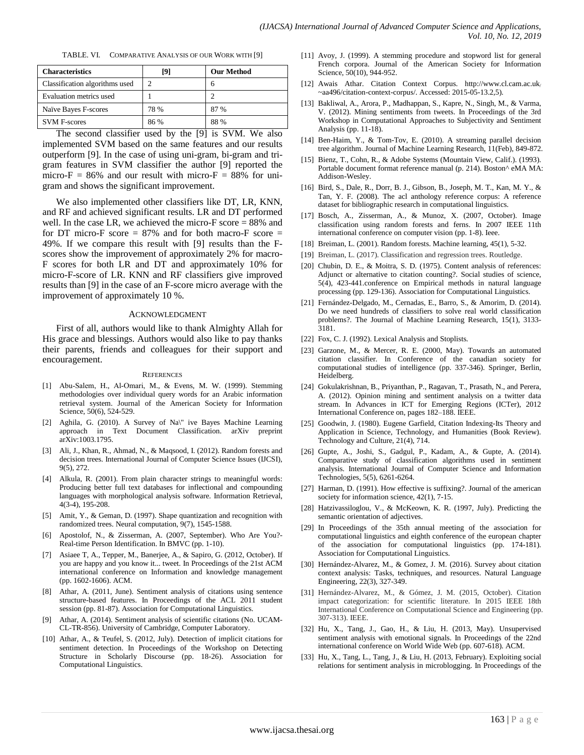| COMPARATIVE ANALYSIS OF OUR WORK WITH [9]<br>TABLE. VI. |  |  |
|---------------------------------------------------------|--|--|
|---------------------------------------------------------|--|--|

| <b>Characteristics</b>         | [9]  | <b>Our Method</b> |
|--------------------------------|------|-------------------|
| Classification algorithms used |      | 6                 |
| Evaluation metrics used        |      |                   |
| Naïve Bayes F-scores           | 78 % | 87%               |
| <b>SVM F-scores</b>            | 86 % | 88 %              |

The second classifier used by the [9] is SVM. We also implemented SVM based on the same features and our results outperform [9]. In the case of using uni-gram, bi-gram and trigram features in SVM classifier the author [9] reported the micro-F =  $86\%$  and our result with micro-F =  $88\%$  for unigram and shows the significant improvement.

We also implemented other classifiers like DT, LR, KNN, and RF and achieved significant results. LR and DT performed well. In the case LR, we achieved the micro-F score = 88% and for DT micro-F score  $= 87\%$  and for both macro-F score  $=$ 49%. If we compare this result with [9] results than the Fscores show the improvement of approximately 2% for macro-F scores for both LR and DT and approximately 10% for micro-F-score of LR. KNN and RF classifiers give improved results than [9] in the case of an F-score micro average with the improvement of approximately 10 %.

#### ACKNOWLEDGMENT

First of all, authors would like to thank Almighty Allah for His grace and blessings. Authors would also like to pay thanks their parents, friends and colleagues for their support and encouragement.

#### **REFERENCES**

- [1] Abu-Salem, H., Al-Omari, M., & Evens, M. W. (1999). Stemming methodologies over individual query words for an Arabic information retrieval system. Journal of the American Society for Information Science, 50(6), 524-529.
- [2] Aghila, G. (2010). A Survey of Na\" ive Bayes Machine Learning approach in Text Document Classification. arXiv preprint arXiv:1003.1795.
- [3] Ali, J., Khan, R., Ahmad, N., & Maqsood, I. (2012). Random forests and decision trees. International Journal of Computer Science Issues (IJCSI), 9(5), 272.
- [4] Alkula, R. (2001). From plain character strings to meaningful words: Producing better full text databases for inflectional and compounding languages with morphological analysis software. Information Retrieval, 4(3-4), 195-208.
- [5] Amit, Y., & Geman, D. (1997). Shape quantization and recognition with randomized trees. Neural computation, 9(7), 1545-1588.
- [6] Apostolof, N., & Zisserman, A. (2007, September). Who Are You?- Real-time Person Identification. In BMVC (pp. 1-10).
- [7] Asiaee T, A., Tepper, M., Banerjee, A., & Sapiro, G. (2012, October). If you are happy and you know it... tweet. In Proceedings of the 21st ACM international conference on Information and knowledge management (pp. 1602-1606). ACM.
- [8] Athar, A. (2011, June). Sentiment analysis of citations using sentence structure-based features. In Proceedings of the ACL 2011 student session (pp. 81-87). Association for Computational Linguistics.
- [9] Athar, A. (2014). Sentiment analysis of scientific citations (No. UCAM-CL-TR-856). University of Cambridge, Computer Laboratory.
- [10] Athar, A., & Teufel, S. (2012, July). Detection of implicit citations for sentiment detection. In Proceedings of the Workshop on Detecting Structure in Scholarly Discourse (pp. 18-26). Association for Computational Linguistics.
- [11] Avoy, J. (1999). A stemming procedure and stopword list for general French corpora. Journal of the American Society for Information Science, 50(10), 944-952.
- [12] Awais Athar. Citation Context Corpus. [http://www.cl.cam.ac.uk](http://www.cl.cam.ac.uk/~aa496/citation-context-corpus/)/ [~aa496/citation-context-corpus/.](http://www.cl.cam.ac.uk/~aa496/citation-context-corpus/) Accessed: 2015-05-13.2,5).
- [13] Bakliwal, A., Arora, P., Madhappan, S., Kapre, N., Singh, M., & Varma, V. (2012). Mining sentiments from tweets. In Proceedings of the 3rd Workshop in Computational Approaches to Subjectivity and Sentiment Analysis (pp. 11-18).
- [14] Ben-Haim, Y., & Tom-Tov, E. (2010). A streaming parallel decision tree algorithm. Journal of Machine Learning Research, 11(Feb), 849-872.
- [15] Bienz, T., Cohn, R., & Adobe Systems (Mountain View, Calif.). (1993). Portable document format reference manual (p. 214). Boston^ eMA MA: Addison-Wesley.
- [16] Bird, S., Dale, R., Dorr, B. J., Gibson, B., Joseph, M. T., Kan, M. Y., & Tan, Y. F. (2008). The acl anthology reference corpus: A reference dataset for bibliographic research in computational linguistics.
- [17] Bosch, A., Zisserman, A., & Munoz, X. (2007, October). Image classification using random forests and ferns. In 2007 IEEE 11th international conference on computer vision (pp. 1-8). Ieee.
- [18] Breiman, L. (2001). Random forests. Machine learning, 45(1), 5-32.
- [19] Breiman, L. (2017). Classification and regression trees. Routledge.
- [20] Chubin, D. E., & Moitra, S. D. (1975). Content analysis of references: Adjunct or alternative to citation counting?. Social studies of science, 5(4), 423-441.conference on Empirical methods in natural language processing (pp. 129-136). Association for Computational Linguistics.
- [21] Fernández-Delgado, M., Cernadas, E., Barro, S., & Amorim, D. (2014). Do we need hundreds of classifiers to solve real world classification problems?. The Journal of Machine Learning Research, 15(1), 3133- 3181.
- [22] Fox, C. J. (1992). Lexical Analysis and Stoplists.
- [23] Garzone, M., & Mercer, R. E. (2000, May). Towards an automated citation classifier. In Conference of the canadian society for computational studies of intelligence (pp. 337-346). Springer, Berlin, Heidelberg.
- [24] Gokulakrishnan, B., Priyanthan, P., Ragavan, T., Prasath, N., and Perera, A. (2012). Opinion mining and sentiment analysis on a twitter data stream. In Advances in ICT for Emerging Regions (ICTer), 2012 International Conference on, pages 182–188. IEEE.
- [25] Goodwin, J. (1980). Eugene Garfield, Citation Indexing-Its Theory and Application in Science, Technology, and Humanities (Book Review). Technology and Culture, 21(4), 714.
- [26] Gupte, A., Joshi, S., Gadgul, P., Kadam, A., & Gupte, A. (2014). Comparative study of classification algorithms used in sentiment analysis. International Journal of Computer Science and Information Technologies, 5(5), 6261-6264.
- [27] Harman, D. (1991). How effective is suffixing?. Journal of the american society for information science, 42(1), 7-15.
- [28] Hatzivassiloglou, V., & McKeown, K. R. (1997, July). Predicting the semantic orientation of adjectives.
- [29] In Proceedings of the 35th annual meeting of the association for computational linguistics and eighth conference of the european chapter of the association for computational linguistics (pp. 174-181). Association for Computational Linguistics.
- [30] Hernández-Alvarez, M., & Gomez, J. M. (2016). Survey about citation context analysis: Tasks, techniques, and resources. Natural Language Engineering, 22(3), 327-349.
- [31] Hernández-Alvarez, M., & Gómez, J. M. (2015, October). Citation impact categorization: for scientific literature. In 2015 IEEE 18th International Conference on Computational Science and Engineering (pp. 307-313). IEEE.
- [32] Hu, X., Tang, J., Gao, H., & Liu, H. (2013, May). Unsupervised sentiment analysis with emotional signals. In Proceedings of the 22nd international conference on World Wide Web (pp. 607-618). ACM.
- [33] Hu, X., Tang, L., Tang, J., & Liu, H. (2013, February). Exploiting social relations for sentiment analysis in microblogging. In Proceedings of the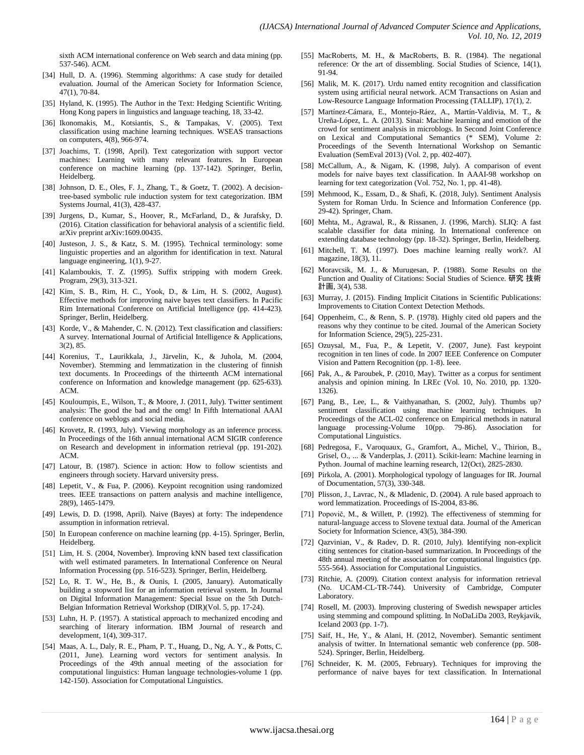sixth ACM international conference on Web search and data mining (pp. 537-546). ACM.

- [34] Hull, D. A. (1996). Stemming algorithms: A case study for detailed evaluation. Journal of the American Society for Information Science, 47(1), 70-84.
- [35] Hyland, K. (1995). The Author in the Text: Hedging Scientific Writing. Hong Kong papers in linguistics and language teaching, 18, 33-42.
- [36] Ikonomakis, M., Kotsiantis, S., & Tampakas, V. (2005). Text classification using machine learning techniques. WSEAS transactions on computers, 4(8), 966-974.
- [37] Joachims, T. (1998, April). Text categorization with support vector machines: Learning with many relevant features. In European conference on machine learning (pp. 137-142). Springer, Berlin, Heidelberg.
- [38] Johnson, D. E., Oles, F. J., Zhang, T., & Goetz, T. (2002). A decisiontree-based symbolic rule induction system for text categorization. IBM Systems Journal, 41(3), 428-437.
- [39] Jurgens, D., Kumar, S., Hoover, R., McFarland, D., & Jurafsky, D. (2016). Citation classification for behavioral analysis of a scientific field. arXiv preprint arXiv:1609.00435.
- [40] Justeson, J. S., & Katz, S. M. (1995). Technical terminology: some linguistic properties and an algorithm for identification in text. Natural language engineering, 1(1), 9-27.
- [41] Kalamboukis, T. Z. (1995). Suffix stripping with modern Greek. Program, 29(3), 313-321.
- [42] Kim, S. B., Rim, H. C., Yook, D., & Lim, H. S. (2002, August). Effective methods for improving naive bayes text classifiers. In Pacific Rim International Conference on Artificial Intelligence (pp. 414-423). Springer, Berlin, Heidelberg.
- [43] Korde, V., & Mahender, C. N. (2012). Text classification and classifiers: A survey. International Journal of Artificial Intelligence & Applications, 3(2), 85.
- [44] Korenius, T., Laurikkala, J., Järvelin, K., & Juhola, M. (2004, November). Stemming and lemmatization in the clustering of finnish text documents. In Proceedings of the thirteenth ACM international conference on Information and knowledge management (pp. 625-633). ACM.
- [45] Kouloumpis, E., Wilson, T., & Moore, J. (2011, July). Twitter sentiment analysis: The good the bad and the omg! In Fifth International AAAI conference on weblogs and social media.
- [46] Krovetz, R. (1993, July). Viewing morphology as an inference process. In Proceedings of the 16th annual international ACM SIGIR conference on Research and development in information retrieval (pp. 191-202). ACM.
- [47] Latour, B. (1987). Science in action: How to follow scientists and engineers through society. Harvard university press.
- [48] Lepetit, V., & Fua, P. (2006). Keypoint recognition using randomized trees. IEEE transactions on pattern analysis and machine intelligence, 28(9), 1465-1479.
- [49] Lewis, D. D. (1998, April). Naive (Bayes) at forty: The independence assumption in information retrieval.
- [50] In European conference on machine learning (pp. 4-15). Springer, Berlin, Heidelberg.
- [51] Lim, H. S. (2004, November). Improving kNN based text classification with well estimated parameters. In International Conference on Neural Information Processing (pp. 516-523). Springer, Berlin, Heidelberg.
- [52] Lo, R. T. W., He, B., & Ounis, I. (2005, January). Automatically building a stopword list for an information retrieval system. In Journal on Digital Information Management: Special Issue on the 5th Dutch-Belgian Information Retrieval Workshop (DIR)(Vol. 5, pp. 17-24).
- [53] Luhn, H. P. (1957). A statistical approach to mechanized encoding and searching of literary information. IBM Journal of research and development, 1(4), 309-317.
- [54] Maas, A. L., Daly, R. E., Pham, P. T., Huang, D., Ng, A. Y., & Potts, C. (2011, June). Learning word vectors for sentiment analysis. In Proceedings of the 49th annual meeting of the association for computational linguistics: Human language technologies-volume 1 (pp. 142-150). Association for Computational Linguistics.
- [55] MacRoberts, M. H., & MacRoberts, B. R. (1984). The negational reference: Or the art of dissembling. Social Studies of Science, 14(1), 91-94.
- [56] Malik, M. K. (2017). Urdu named entity recognition and classification system using artificial neural network. ACM Transactions on Asian and Low-Resource Language Information Processing (TALLIP), 17(1), 2.
- [57] Martínez-Cámara, E., Montejo-Ráez, A., Martín-Valdivia, M. T., & Ureña-López, L. A. (2013). Sinai: Machine learning and emotion of the crowd for sentiment analysis in microblogs. In Second Joint Conference on Lexical and Computational Semantics (\* SEM), Volume 2: Proceedings of the Seventh International Workshop on Semantic Evaluation (SemEval 2013) (Vol. 2, pp. 402-407).
- [58] McCallum, A., & Nigam, K. (1998, July). A comparison of event models for naive bayes text classification. In AAAI-98 workshop on learning for text categorization (Vol. 752, No. 1, pp. 41-48).
- [59] Mehmood, K., Essam, D., & Shafi, K. (2018, July). Sentiment Analysis System for Roman Urdu. In Science and Information Conference (pp. 29-42). Springer, Cham.
- [60] Mehta, M., Agrawal, R., & Rissanen, J. (1996, March). SLIQ: A fast scalable classifier for data mining. In International conference on extending database technology (pp. 18-32). Springer, Berlin, Heidelberg.
- [61] Mitchell, T. M. (1997). Does machine learning really work?. AI magazine, 18(3), 11.
- [62] Moravcsik, M. J., & Murugesan, P. (1988). Some Results on the Function and Quality of Citations: Social Studies of Science. 研究 技術 計画, 3(4), 538.
- [63] Murray, J. (2015). Finding Implicit Citations in Scientific Publications: Improvements to Citation Context Detection Methods.
- [64] Oppenheim, C., & Renn, S. P. (1978). Highly cited old papers and the reasons why they continue to be cited. Journal of the American Society for Information Science, 29(5), 225-231.
- [65] Ozuysal, M., Fua, P., & Lepetit, V. (2007, June). Fast keypoint recognition in ten lines of code. In 2007 IEEE Conference on Computer Vision and Pattern Recognition (pp. 1-8). Ieee.
- [66] Pak, A., & Paroubek, P. (2010, May). Twitter as a corpus for sentiment analysis and opinion mining. In LREc (Vol. 10, No. 2010, pp. 1320- 1326).
- [67] Pang, B., Lee, L., & Vaithyanathan, S. (2002, July). Thumbs up? sentiment classification using machine learning techniques. In Proceedings of the ACL-02 conference on Empirical methods in natural language processing-Volume 10(pp. 79-86). Association for Computational Linguistics.
- [68] Pedregosa, F., Varoquaux, G., Gramfort, A., Michel, V., Thirion, B., Grisel, O., ... & Vanderplas, J. (2011). Scikit-learn: Machine learning in Python. Journal of machine learning research, 12(Oct), 2825-2830.
- [69] Pirkola, A. (2001). Morphological typology of languages for IR. Journal of Documentation, 57(3), 330-348.
- [70] Plisson, J., Lavrac, N., & Mladenic, D. (2004). A rule based approach to word lemmatization. Proceedings of IS-2004, 83-86.
- [71] Popovič, M., & Willett, P. (1992). The effectiveness of stemming for natural‐language access to Slovene textual data. Journal of the American Society for Information Science, 43(5), 384-390.
- [72] Qazvinian, V., & Radev, D. R. (2010, July). Identifying non-explicit citing sentences for citation-based summarization. In Proceedings of the 48th annual meeting of the association for computational linguistics (pp. 555-564). Association for Computational Linguistics.
- [73] Ritchie, A. (2009). Citation context analysis for information retrieval (No. UCAM-CL-TR-744). University of Cambridge, Computer Laboratory.
- [74] Rosell, M. (2003). Improving clustering of Swedish newspaper articles using stemming and compound splitting. In NoDaLiDa 2003, Reykjavik, Iceland 2003 (pp. 1-7).
- [75] Saif, H., He, Y., & Alani, H. (2012, November). Semantic sentiment analysis of twitter. In International semantic web conference (pp. 508- 524). Springer, Berlin, Heidelberg.
- [76] Schneider, K. M. (2005, February). Techniques for improving the performance of naive bayes for text classification. In International